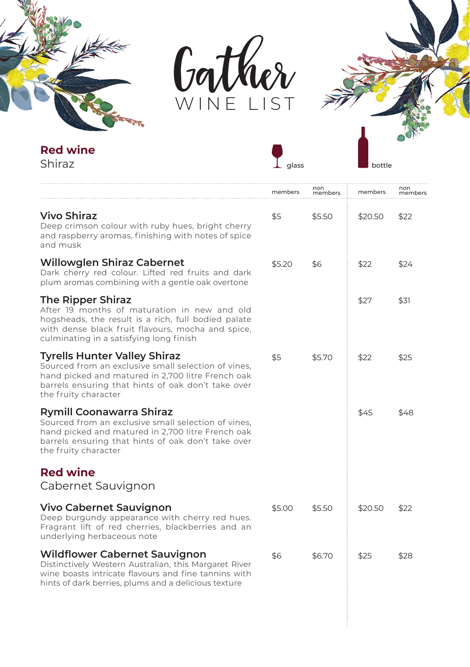



 $\int_{\text{glass}}$ 



**Red wine**

Shiraz

|                                                                                                                                                                                                                               | members | non<br>members | members | non<br>members |
|-------------------------------------------------------------------------------------------------------------------------------------------------------------------------------------------------------------------------------|---------|----------------|---------|----------------|
| Vivo Shiraz<br>Deep crimson colour with ruby hues, bright cherry<br>and raspberry aromas, finishing with notes of spice<br>and musk                                                                                           | \$5     | \$5.50         | \$20.50 | \$22           |
| Willowglen Shiraz Cabernet<br>Dark cherry red colour. Lifted red fruits and dark<br>plum aromas combining with a gentle oak overtone                                                                                          | \$5.20  | \$6            | \$22    | \$24           |
| The Ripper Shiraz<br>After 19 months of maturation in new and old<br>hogsheads, the result is a rich, full bodied palate<br>with dense black fruit flavours, mocha and spice,<br>culminating in a satisfying long finish      |         |                | \$27    | \$31           |
| <b>Tyrells Hunter Valley Shiraz</b><br>Sourced from an exclusive small selection of vines,<br>hand picked and matured in 2,700 litre French oak<br>barrels ensuring that hints of oak don't take over<br>the fruity character | \$5     | \$5.70         | \$22    | \$25           |
| Rymill Coonawarra Shiraz<br>Sourced from an exclusive small selection of vines,<br>hand picked and matured in 2,700 litre French oak<br>barrels ensuring that hints of oak don't take over<br>the fruity character            |         |                | \$45    | \$48           |
| <b>Red wine</b><br>Cabernet Sauvignon                                                                                                                                                                                         |         |                |         |                |
| Vivo Cabernet Sauvignon<br>Deep burgundy appearance with cherry red hues.<br>Fragrant lift of red cherries, blackberries and an<br>underlying herbaceous note                                                                 | \$5.00  | \$5.50         | \$20.50 | \$22           |
| <b>Wildflower Cabernet Sauvignon</b><br>Distinctively Western Australian, this Margaret River<br>wine boasts intricate flavours and fine tannins with<br>hints of dark berries, plums and a delicious texture                 | \$6     | \$6.70         | \$25    | \$28           |
|                                                                                                                                                                                                                               |         |                |         |                |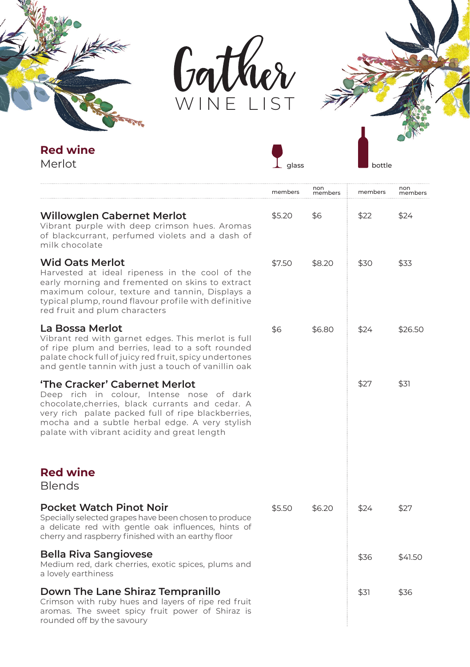



**T** glass



**Red wine**

Merlot

|                                                                                                                                                                                                                                                                                        | members | non<br>members | members | non<br>members |
|----------------------------------------------------------------------------------------------------------------------------------------------------------------------------------------------------------------------------------------------------------------------------------------|---------|----------------|---------|----------------|
| Willowglen Cabernet Merlot<br>Vibrant purple with deep crimson hues. Aromas<br>of blackcurrant, perfumed violets and a dash of<br>milk chocolate                                                                                                                                       | \$5.20  | \$6            | \$22    | \$24           |
| <b>Wid Oats Merlot</b><br>Harvested at ideal ripeness in the cool of the<br>early morning and fremented on skins to extract<br>maximum colour, texture and tannin, Displays a<br>typical plump, round flavour profile with definitive<br>red fruit and plum characters                 | \$7.50  | \$8.20         | \$30    | \$33           |
| La Bossa Merlot<br>Vibrant red with garnet edges. This merlot is full<br>of ripe plum and berries, lead to a soft rounded<br>palate chock full of juicy red fruit, spicy undertones<br>and gentle tannin with just a touch of vanillin oak                                             | \$6     | \$6.80         | \$24    | \$26.50        |
| 'The Cracker' Cabernet Merlot<br>Deep rich in colour, Intense nose of dark<br>chocolate, cherries, black currants and cedar. A<br>very rich palate packed full of ripe blackberries,<br>mocha and a subtle herbal edge. A very stylish<br>palate with vibrant acidity and great length |         |                | \$27    | \$31           |
| <b>Red wine</b><br><b>Blends</b>                                                                                                                                                                                                                                                       |         |                |         |                |
| <b>Pocket Watch Pinot Noir</b><br>Specially selected grapes have been chosen to produce<br>a delicate red with gentle oak influences, hints of<br>cherry and raspberry finished with an earthy floor                                                                                   | \$5.50  | \$6.20         | \$24    | \$27           |
| Bella Riva Sangiovese<br>Medium red, dark cherries, exotic spices, plums and<br>a lovely earthiness                                                                                                                                                                                    |         |                | \$36    | \$41.50        |
| Down The Lane Shiraz Tempranillo<br>Crimson with ruby hues and layers of ripe red fruit<br>aromas. The sweet spicy fruit power of Shiraz is<br>rounded off by the savoury                                                                                                              |         |                | \$31    | \$36           |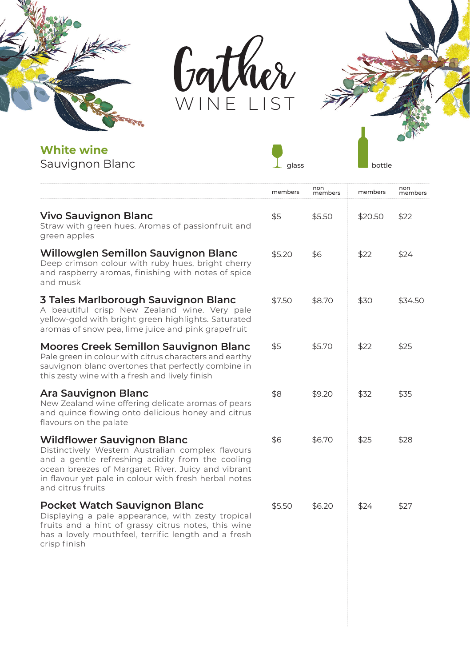



**g**<br>glass



**White wine** Sauvignon Blanc

|                                                                                                                                                                                                                                                                         | members | non<br>members | members | non<br>members |
|-------------------------------------------------------------------------------------------------------------------------------------------------------------------------------------------------------------------------------------------------------------------------|---------|----------------|---------|----------------|
| Vivo Sauvignon Blanc<br>Straw with green hues. Aromas of passionfruit and<br>green apples                                                                                                                                                                               | \$5     | \$5.50         | \$20.50 | \$22           |
| Willowglen Semillon Sauvignon Blanc<br>Deep crimson colour with ruby hues, bright cherry<br>and raspberry aromas, finishing with notes of spice<br>and musk                                                                                                             | \$5.20  | \$6            | \$22    | \$24           |
| 3 Tales Marlborough Sauvignon Blanc<br>A beautiful crisp New Zealand wine. Very pale<br>yellow-gold with bright green highlights. Saturated<br>aromas of snow pea, lime juice and pink grapefruit                                                                       | \$7.50  | \$8.70         | \$30    | \$34.50        |
| Moores Creek Semillon Sauvignon Blanc<br>Pale green in colour with citrus characters and earthy<br>sauvignon blanc overtones that perfectly combine in<br>this zesty wine with a fresh and lively finish                                                                | \$5     | \$5.70         | \$22    | \$25           |
| Ara Sauvignon Blanc<br>New Zealand wine offering delicate aromas of pears<br>and quince flowing onto delicious honey and citrus<br>flavours on the palate                                                                                                               | \$8     | \$9.20         | \$32    | \$35           |
| Wildflower Sauvignon Blanc<br>Distinctively Western Australian complex flavours<br>and a gentle refreshing acidity from the cooling<br>ocean breezes of Margaret River. Juicy and vibrant<br>in flavour yet pale in colour with fresh herbal notes<br>and citrus fruits | \$6     | \$6.70         | \$25    | \$28           |
| Pocket Watch Sauvignon Blanc<br>Displaying a pale appearance, with zesty tropical<br>fruits and a hint of grassy citrus notes, this wine<br>has a lovely mouthfeel, terrific length and a fresh<br>crisp finish                                                         | \$5.50  | \$6.20         | \$24    | \$27           |
|                                                                                                                                                                                                                                                                         |         |                |         |                |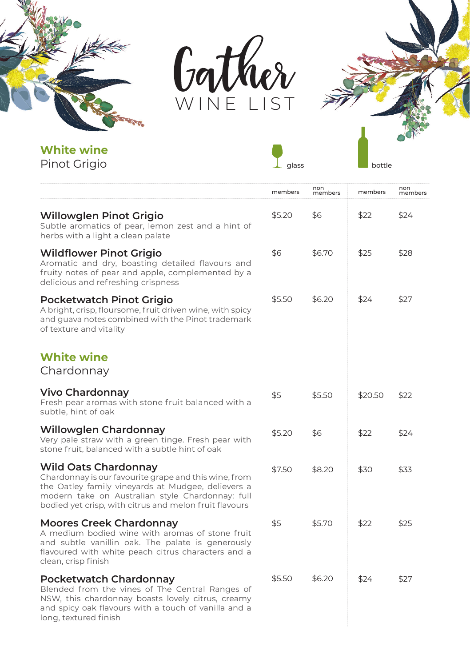



**T**<br>glass



**White wine** Pinot Grigio

|                                                                                                                                                                                                                                                          | members | non<br>members | members | non<br>members |
|----------------------------------------------------------------------------------------------------------------------------------------------------------------------------------------------------------------------------------------------------------|---------|----------------|---------|----------------|
| <b>Willowglen Pinot Grigio</b><br>Subtle aromatics of pear, lemon zest and a hint of<br>herbs with a light a clean palate                                                                                                                                | \$5.20  | \$6            | \$22    | \$24           |
| <b>Wildflower Pinot Grigio</b><br>Aromatic and dry, boasting detailed flavours and<br>fruity notes of pear and apple, complemented by a<br>delicious and refreshing crispness                                                                            | \$6     | \$6.70         | \$25    | \$28           |
| Pocketwatch Pinot Grigio<br>A bright, crisp, floursome, fruit driven wine, with spicy<br>and guava notes combined with the Pinot trademark<br>of texture and vitality                                                                                    | \$5.50  | \$6.20         | \$24    | \$27           |
| <b>White wine</b><br>Chardonnay                                                                                                                                                                                                                          |         |                |         |                |
| Vivo Chardonnay<br>Fresh pear aromas with stone fruit balanced with a<br>subtle, hint of oak                                                                                                                                                             | \$5     | \$5.50         | \$20.50 | \$22           |
| Willowglen Chardonnay<br>Very pale straw with a green tinge. Fresh pear with<br>stone fruit, balanced with a subtle hint of oak                                                                                                                          | \$5.20  | \$6            | \$22    | \$24           |
| <b>Wild Oats Chardonnay</b><br>Chardonnay is our favourite grape and this wine, from<br>the Oatley family vineyards at Mudgee, delievers a<br>modern take on Australian style Chardonnay: full<br>bodied yet crisp, with citrus and melon fruit flavours | \$7.50  | \$8.20         | \$30    | \$33           |
| <b>Moores Creek Chardonnay</b><br>A medium bodied wine with aromas of stone fruit<br>and subtle vanillin oak. The palate is generously<br>flavoured with white peach citrus characters and a<br>clean, crisp finish                                      | \$5     | \$5.70         | \$22    | \$25           |
| Pocketwatch Chardonnay<br>Blended from the vines of The Central Ranges of<br>NSW, this chardonnay boasts lovely citrus, creamy<br>and spicy oak flavours with a touch of vanilla and a<br>long, textured finish                                          | \$5.50  | \$6.20         | \$24    | \$27           |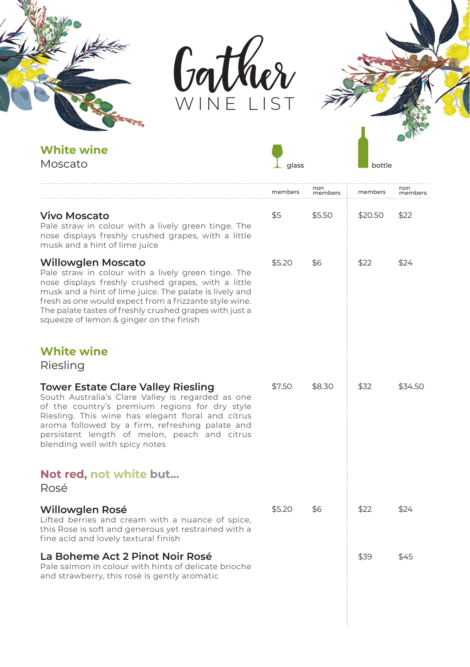



**T**<br>glass



**White wine**

Moscato

|                                                                                                                                                                                                                                                                                                                                                                    | members | non<br>members | members | non<br>members |
|--------------------------------------------------------------------------------------------------------------------------------------------------------------------------------------------------------------------------------------------------------------------------------------------------------------------------------------------------------------------|---------|----------------|---------|----------------|
| <b>Vivo Moscato</b><br>Pale straw in colour with a lively green tinge. The<br>nose displays freshly crushed grapes, with a little<br>musk and a hint of lime juice                                                                                                                                                                                                 | \$5     | \$5.50         | \$20.50 | \$22           |
| <b>Willowglen Moscato</b><br>Pale straw in colour with a lively green tinge. The<br>nose displays freshly crushed grapes, with a little<br>musk and a hint of lime juice. The palate is lively and<br>fresh as one would expect from a frizzante style wine.<br>The palate tastes of freshly crushed grapes with just a<br>squeeze of lemon & ginger on the finish | \$5.20  | \$6            | \$22    | \$24           |
| <b>White wine</b><br>Riesling                                                                                                                                                                                                                                                                                                                                      |         |                |         |                |
| Tower Estate Clare Valley Riesling<br>South Australia's Clare Valley is regarded as one<br>of the country's premium regions for dry style<br>Riesling. This wine has elegant floral and citrus<br>aroma followed by a firm, refreshing palate and<br>persistent length of melon, peach and citrus<br>blending well with spicy notes                                | \$7.50  | \$8.30         | \$32    | \$34.50        |
| Not red, not white but<br>Rosé                                                                                                                                                                                                                                                                                                                                     |         |                |         |                |
| Willowglen Rosé<br>Lifted berries and cream with a nuance of spice,<br>this Rose is soft and generous yet restrained with a<br>fine acid and lovely textural finish                                                                                                                                                                                                | \$5.20  | \$6            | \$22    | \$24           |
| La Boheme Act 2 Pinot Noir Rosé<br>Pale salmon in colour with hints of delicate brioche<br>and strawberry, this rosé is gently aromatic                                                                                                                                                                                                                            |         |                | \$39    | \$45           |